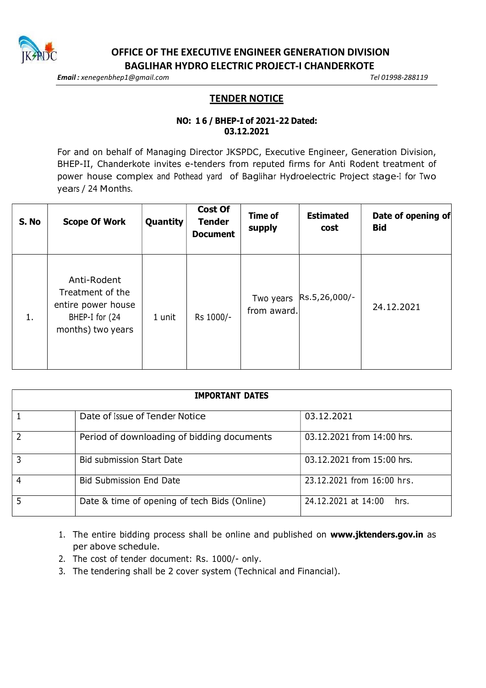

OFFICE OF THE EXECUTIVE ENGINEER GENERATION DIVISION BAGLIHAR HYDRO ELECTRIC PROJECT-I CHANDERKOTE

Email: xenegenbhep1@gmail.com and the settlement of the Control of Tel 01998-288119

## **TENDER NOTICE**

## 03.12.2021

EXECUTIVE ENGINEER GENERATION DIVISION<br>
HYDRO ELECTRIC PROJECT-I CHANDERKOTE<br>
TENDER NOTICE<br>
TENDER NOTICE<br>
NO: 16 / BHEP-I of 2021-22 Dated:<br>
03.12.2021<br>
Ing Director JKSPDC, Executive Engineer, Generation Division,<br>
se-t For and on behalf of Managing Director JKSPDC, Executive Engineer, Generation Division, BHEP-II, Chanderkote invites e-tenders from reputed firms for Anti Rodent treatment of power house complex and Pothead yard of Baglihar Hydroelectric Project stage-I for Two years / 24 Months.

| S. No | <b>Scope Of Work</b>                                                                         | Quantity | <b>Cost Of</b><br><b>Tender</b><br><b>Document</b> | Time of<br>supply | <b>Estimated</b><br>cost | Date of opening of<br><b>Bid</b> |
|-------|----------------------------------------------------------------------------------------------|----------|----------------------------------------------------|-------------------|--------------------------|----------------------------------|
| 1.    | Anti-Rodent<br>Treatment of the<br>entire power house<br>BHEP-I for (24<br>months) two years | 1 unit   | Rs 1000/-                                          | from award.       | Two years  Rs.5,26,000/- | 24.12.2021                       |

| 1.             | Anti-Rodent<br>Treatment of the<br>entire power house<br>BHEP-I for (24<br>months) two years | 1 unit | Rs 1000/-                  | Two years<br>from award.    | Rs.5,26,000/- | 24.12.2021 |
|----------------|----------------------------------------------------------------------------------------------|--------|----------------------------|-----------------------------|---------------|------------|
|                |                                                                                              |        |                            |                             |               |            |
|                |                                                                                              |        | <b>IMPORTANT DATES</b>     |                             |               |            |
| $\mathbf{1}$   | Date of Issue of Tender Notice                                                               |        |                            | 03.12.2021                  |               |            |
| $\overline{2}$ | Period of downloading of bidding documents                                                   |        | 03.12.2021 from 14:00 hrs. |                             |               |            |
| $\overline{3}$ | <b>Bid submission Start Date</b>                                                             |        | 03.12.2021 from 15:00 hrs. |                             |               |            |
| $\overline{4}$ | <b>Bid Submission End Date</b>                                                               |        | 23.12.2021 from 16:00 hrs. |                             |               |            |
| $\overline{5}$ | Date & time of opening of tech Bids (Online)                                                 |        |                            | 24.12.2021 at 14:00<br>hrs. |               |            |
|                |                                                                                              |        |                            |                             |               |            |

- 1. The entire bidding process shall be online and published on www.jktenders.gov.in as per above schedule.
- 2. The cost of tender document: Rs. 1000/- only.
- 3. The tendering shall be 2 cover system (Technical and Financial).